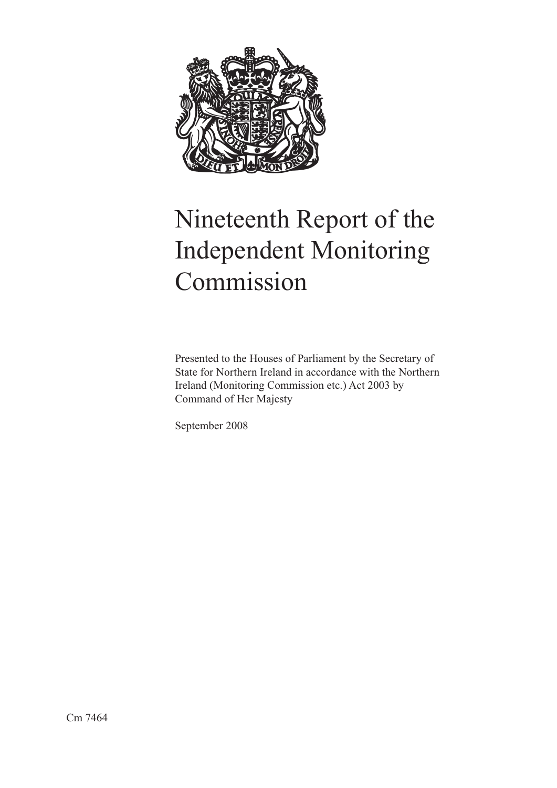

# Nineteenth Report of the Independent Monitoring Commission

Presented to the Houses of Parliament by the Secretary of State for Northern Ireland in accordance with the Northern Ireland (Monitoring Commission etc.) Act 2003 by Command of Her Majesty

September 2008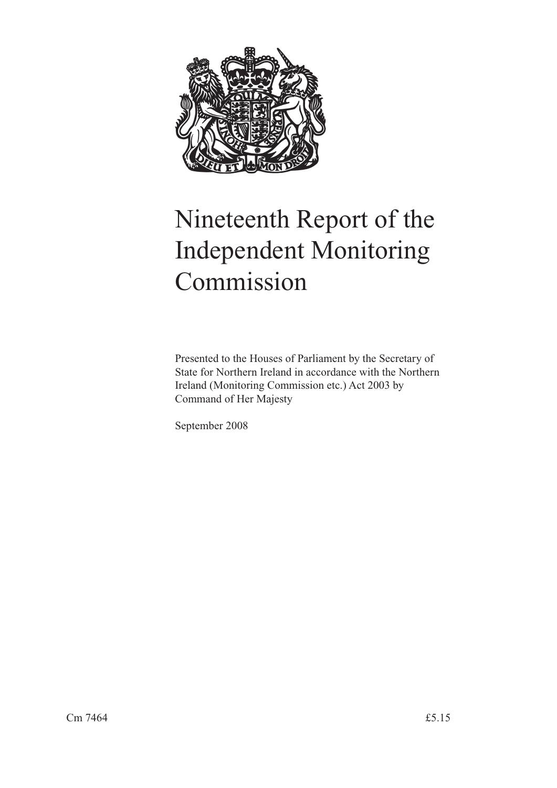

# Nineteenth Report of the Independent Monitoring Commission

Presented to the Houses of Parliament by the Secretary of State for Northern Ireland in accordance with the Northern Ireland (Monitoring Commission etc.) Act 2003 by Command of Her Majesty

September 2008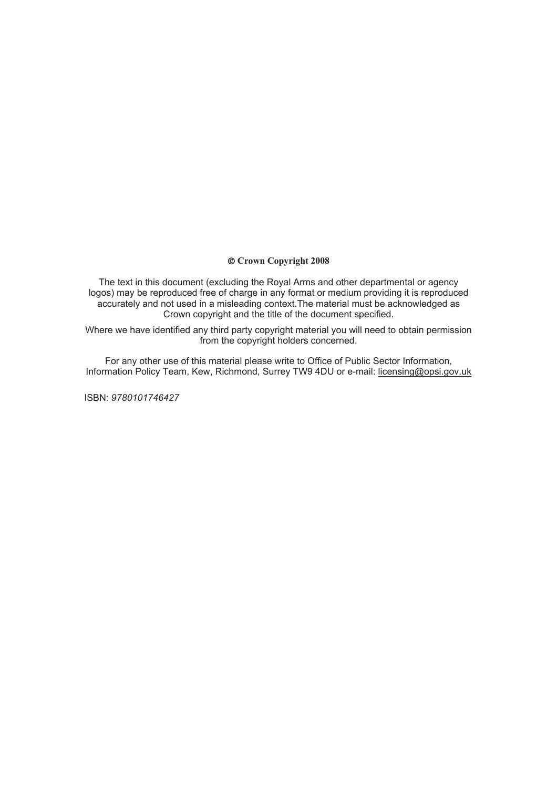### © **Crown Copyright 2008**

The text in this document (excluding the Royal Arms and other departmental or agency logos) may be reproduced free of charge in any format or medium providing it is reproduced accurately and not used in a misleading context.The material must be acknowledged as Crown copyright and the title of the document specified.

Where we have identified any third party copyright material you will need to obtain permission from the copyright holders concerned.

For any other use of this material please write to Office of Public Sector Information, Information Policy Team, Kew, Richmond, Surrey TW9 4DU or e-mail: licensing@opsi.gov.uk

ISBN: *9780101746427*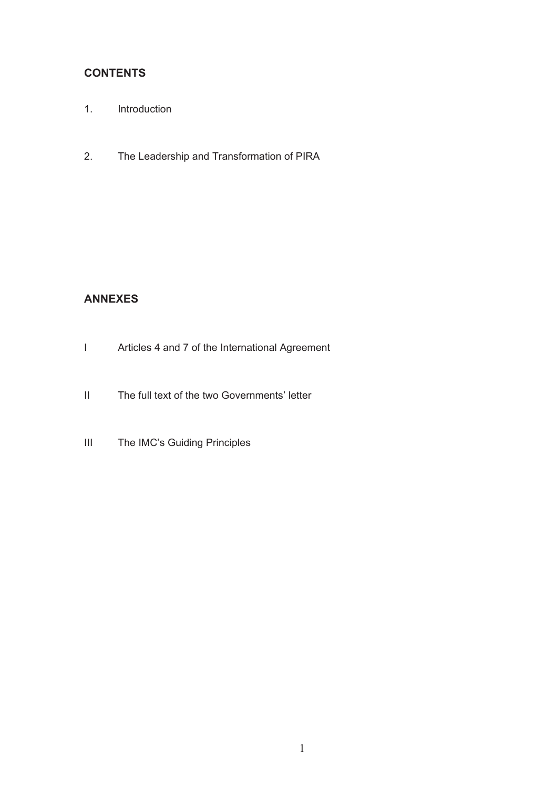# **CONTENTS**

- 1. Introduction
- 2. The Leadership and Transformation of PIRA

## **ANNEXES**

- I Articles 4 and 7 of the International Agreement
- II The full text of the two Governments' letter
- III The IMC's Guiding Principles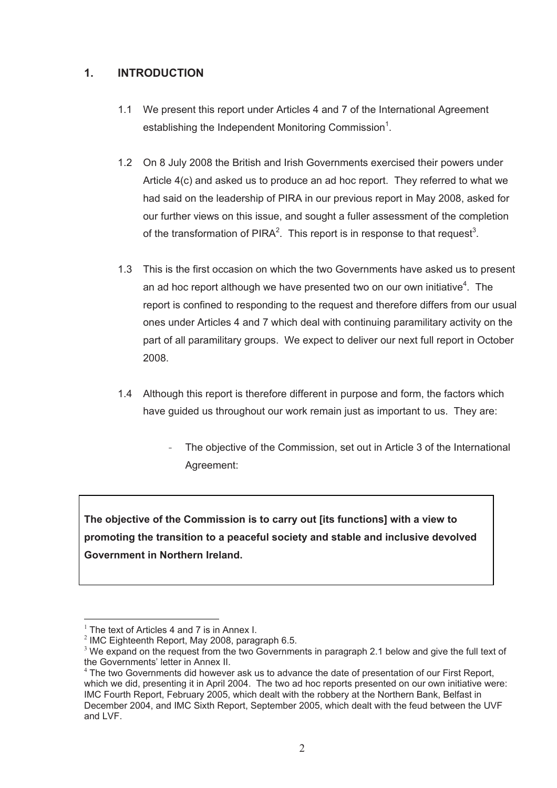## **1. INTRODUCTION**

- 1.1 We present this report under Articles 4 and 7 of the International Agreement establishing the Independent Monitoring Commission<sup>1</sup>.
- 1.2 On 8 July 2008 the British and Irish Governments exercised their powers under Article 4(c) and asked us to produce an ad hoc report. They referred to what we had said on the leadership of PIRA in our previous report in May 2008, asked for our further views on this issue, and sought a fuller assessment of the completion of the transformation of PIRA<sup>2</sup>. This report is in response to that request<sup>3</sup>.
- 1.3 This is the first occasion on which the two Governments have asked us to present an ad hoc report although we have presented two on our own initiative $4$ . The report is confined to responding to the request and therefore differs from our usual ones under Articles 4 and 7 which deal with continuing paramilitary activity on the part of all paramilitary groups. We expect to deliver our next full report in October 2008.
- 1.4 Although this report is therefore different in purpose and form, the factors which have guided us throughout our work remain just as important to us. They are:
	- The objective of the Commission, set out in Article 3 of the International Agreement:

**The objective of the Commission is to carry out [its functions] with a view to promoting the transition to a peaceful society and stable and inclusive devolved Government in Northern Ireland.** 

 $\overline{a}$  $1$  The text of Articles 4 and 7 is in Annex I.

 $2$  IMC Eighteenth Report, May 2008, paragraph 6.5.

 $3$  We expand on the request from the two Governments in paragraph 2.1 below and give the full text of the Governments' letter in Annex II.

 $4$  The two Governments did however ask us to advance the date of presentation of our First Report, which we did, presenting it in April 2004. The two ad hoc reports presented on our own initiative were: IMC Fourth Report, February 2005, which dealt with the robbery at the Northern Bank, Belfast in December 2004, and IMC Sixth Report, September 2005, which dealt with the feud between the UVF and LVF.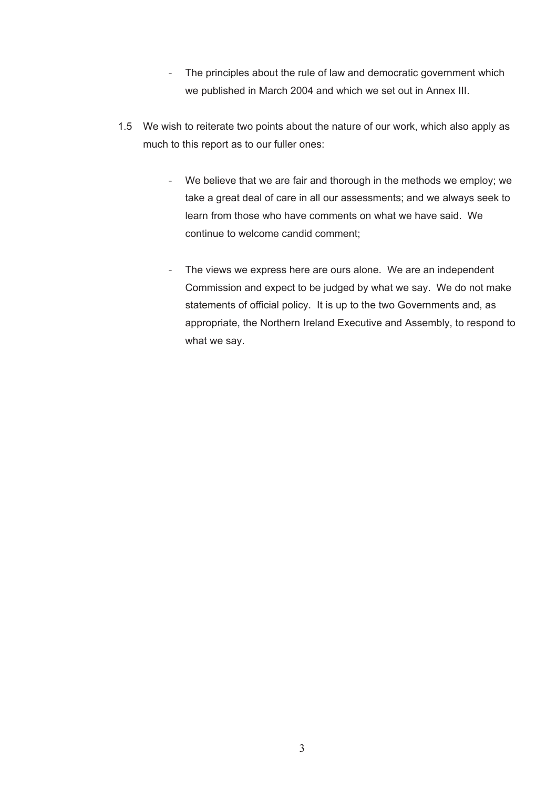- The principles about the rule of law and democratic government which we published in March 2004 and which we set out in Annex III.
- 1.5 We wish to reiterate two points about the nature of our work, which also apply as much to this report as to our fuller ones:
	- We believe that we are fair and thorough in the methods we employ; we take a great deal of care in all our assessments; and we always seek to learn from those who have comments on what we have said. We continue to welcome candid comment;
	- The views we express here are ours alone. We are an independent Commission and expect to be judged by what we say. We do not make statements of official policy. It is up to the two Governments and, as appropriate, the Northern Ireland Executive and Assembly, to respond to what we say.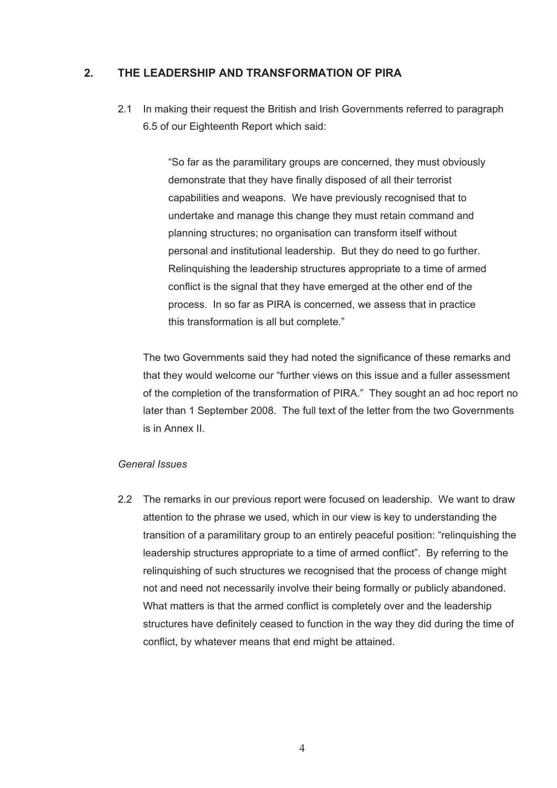## **2. THE LEADERSHIP AND TRANSFORMATION OF PIRA**

2.1 In making their request the British and Irish Governments referred to paragraph 6.5 of our Eighteenth Report which said:

> "So far as the paramilitary groups are concerned, they must obviously demonstrate that they have finally disposed of all their terrorist capabilities and weapons. We have previously recognised that to undertake and manage this change they must retain command and planning structures; no organisation can transform itself without personal and institutional leadership. But they do need to go further. Relinquishing the leadership structures appropriate to a time of armed conflict is the signal that they have emerged at the other end of the process. In so far as PIRA is concerned, we assess that in practice this transformation is all but complete."

 The two Governments said they had noted the significance of these remarks and that they would welcome our "further views on this issue and a fuller assessment of the completion of the transformation of PIRA." They sought an ad hoc report no later than 1 September 2008. The full text of the letter from the two Governments is in Annex II.

### *General Issues*

2.2 The remarks in our previous report were focused on leadership. We want to draw attention to the phrase we used, which in our view is key to understanding the transition of a paramilitary group to an entirely peaceful position: "relinquishing the leadership structures appropriate to a time of armed conflict". By referring to the relinquishing of such structures we recognised that the process of change might not and need not necessarily involve their being formally or publicly abandoned. What matters is that the armed conflict is completely over and the leadership structures have definitely ceased to function in the way they did during the time of conflict, by whatever means that end might be attained.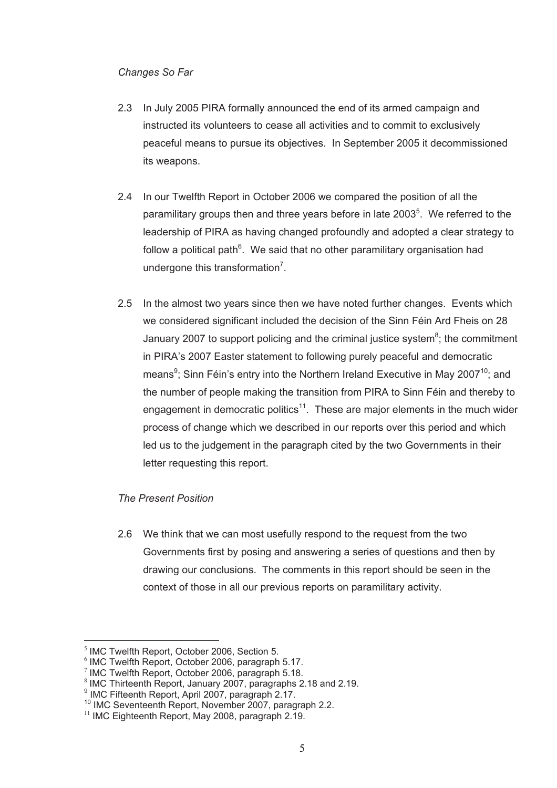## *Changes So Far*

- 2.3 In July 2005 PIRA formally announced the end of its armed campaign and instructed its volunteers to cease all activities and to commit to exclusively peaceful means to pursue its objectives. In September 2005 it decommissioned its weapons.
- 2.4 In our Twelfth Report in October 2006 we compared the position of all the paramilitary groups then and three years before in late 2003<sup>5</sup>. We referred to the leadership of PIRA as having changed profoundly and adopted a clear strategy to follow a political path $^6$ . We said that no other paramilitary organisation had undergone this transformation<sup>7</sup>.
- 2.5 In the almost two years since then we have noted further changes. Events which we considered significant included the decision of the Sinn Féin Ard Fheis on 28 January 2007 to support policing and the criminal justice system $8$ ; the commitment in PIRA's 2007 Easter statement to following purely peaceful and democratic means<sup>9</sup>; Sinn Féin's entry into the Northern Ireland Executive in May 2007<sup>10</sup>; and the number of people making the transition from PIRA to Sinn Féin and thereby to engagement in democratic politics<sup>11</sup>. These are major elements in the much wider process of change which we described in our reports over this period and which led us to the judgement in the paragraph cited by the two Governments in their letter requesting this report.

## *The Present Position*

2.6 We think that we can most usefully respond to the request from the two Governments first by posing and answering a series of questions and then by drawing our conclusions. The comments in this report should be seen in the context of those in all our previous reports on paramilitary activity.

 $\overline{a}$ 

<sup>&</sup>lt;sup>5</sup> IMC Twelfth Report, October 2006, Section 5.

<sup>6</sup> IMC Twelfth Report, October 2006, paragraph 5.17.

 $7$  IMC Twelfth Report, October 2006, paragraph 5.18.

<sup>8</sup> IMC Thirteenth Report, January 2007, paragraphs 2.18 and 2.19.

<sup>9</sup> IMC Fifteenth Report, April 2007, paragraph 2.17.

<sup>&</sup>lt;sup>10</sup> IMC Seventeenth Report, November 2007, paragraph 2.2.<br><sup>11</sup> IMC Eighteenth Report, May 2008, paragraph 2.19.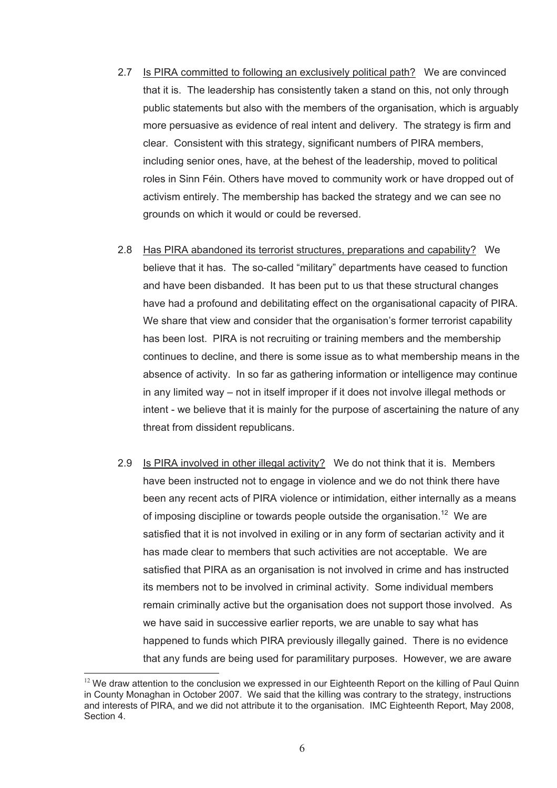- 2.7 Is PIRA committed to following an exclusively political path? We are convinced that it is. The leadership has consistently taken a stand on this, not only through public statements but also with the members of the organisation, which is arguably more persuasive as evidence of real intent and delivery. The strategy is firm and clear. Consistent with this strategy, significant numbers of PIRA members, including senior ones, have, at the behest of the leadership, moved to political roles in Sinn Féin. Others have moved to community work or have dropped out of activism entirely. The membership has backed the strategy and we can see no grounds on which it would or could be reversed.
- 2.8 Has PIRA abandoned its terrorist structures, preparations and capability? We believe that it has. The so-called "military" departments have ceased to function and have been disbanded. It has been put to us that these structural changes have had a profound and debilitating effect on the organisational capacity of PIRA. We share that view and consider that the organisation's former terrorist capability has been lost. PIRA is not recruiting or training members and the membership continues to decline, and there is some issue as to what membership means in the absence of activity. In so far as gathering information or intelligence may continue in any limited way – not in itself improper if it does not involve illegal methods or intent - we believe that it is mainly for the purpose of ascertaining the nature of any threat from dissident republicans.
- 2.9 Is PIRA involved in other illegal activity? We do not think that it is. Members have been instructed not to engage in violence and we do not think there have been any recent acts of PIRA violence or intimidation, either internally as a means of imposing discipline or towards people outside the organisation.<sup>12</sup> We are satisfied that it is not involved in exiling or in any form of sectarian activity and it has made clear to members that such activities are not acceptable. We are satisfied that PIRA as an organisation is not involved in crime and has instructed its members not to be involved in criminal activity. Some individual members remain criminally active but the organisation does not support those involved. As we have said in successive earlier reports, we are unable to say what has happened to funds which PIRA previously illegally gained. There is no evidence that any funds are being used for paramilitary purposes. However, we are aware

 $\overline{a}$  $12$  We draw attention to the conclusion we expressed in our Eighteenth Report on the killing of Paul Quinn in County Monaghan in October 2007. We said that the killing was contrary to the strategy, instructions and interests of PIRA, and we did not attribute it to the organisation. IMC Eighteenth Report, May 2008, Section 4.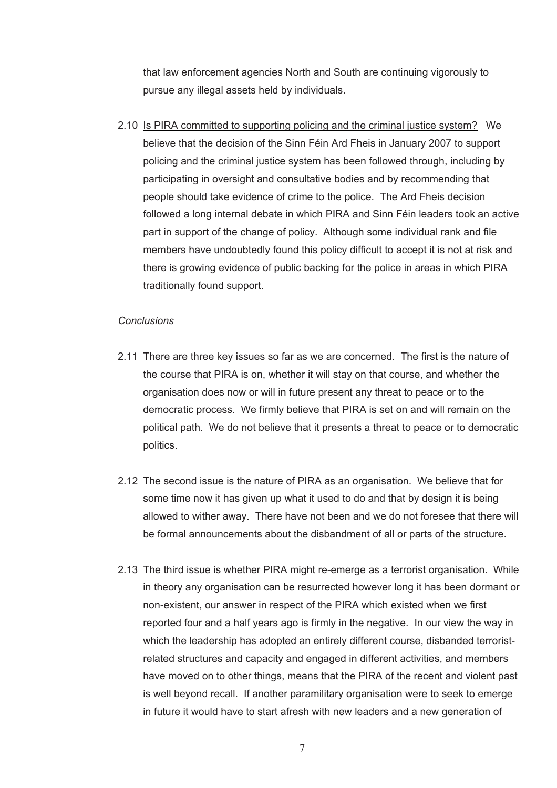that law enforcement agencies North and South are continuing vigorously to pursue any illegal assets held by individuals.

2.10 Is PIRA committed to supporting policing and the criminal justice system? We believe that the decision of the Sinn Féin Ard Fheis in January 2007 to support policing and the criminal justice system has been followed through, including by participating in oversight and consultative bodies and by recommending that people should take evidence of crime to the police. The Ard Fheis decision followed a long internal debate in which PIRA and Sinn Féin leaders took an active part in support of the change of policy. Although some individual rank and file members have undoubtedly found this policy difficult to accept it is not at risk and there is growing evidence of public backing for the police in areas in which PIRA traditionally found support.

## *Conclusions*

- 2.11 There are three key issues so far as we are concerned. The first is the nature of the course that PIRA is on, whether it will stay on that course, and whether the organisation does now or will in future present any threat to peace or to the democratic process. We firmly believe that PIRA is set on and will remain on the political path. We do not believe that it presents a threat to peace or to democratic politics.
- 2.12 The second issue is the nature of PIRA as an organisation. We believe that for some time now it has given up what it used to do and that by design it is being allowed to wither away. There have not been and we do not foresee that there will be formal announcements about the disbandment of all or parts of the structure.
- 2.13 The third issue is whether PIRA might re-emerge as a terrorist organisation. While in theory any organisation can be resurrected however long it has been dormant or non-existent, our answer in respect of the PIRA which existed when we first reported four and a half years ago is firmly in the negative. In our view the way in which the leadership has adopted an entirely different course, disbanded terroristrelated structures and capacity and engaged in different activities, and members have moved on to other things, means that the PIRA of the recent and violent past is well beyond recall. If another paramilitary organisation were to seek to emerge in future it would have to start afresh with new leaders and a new generation of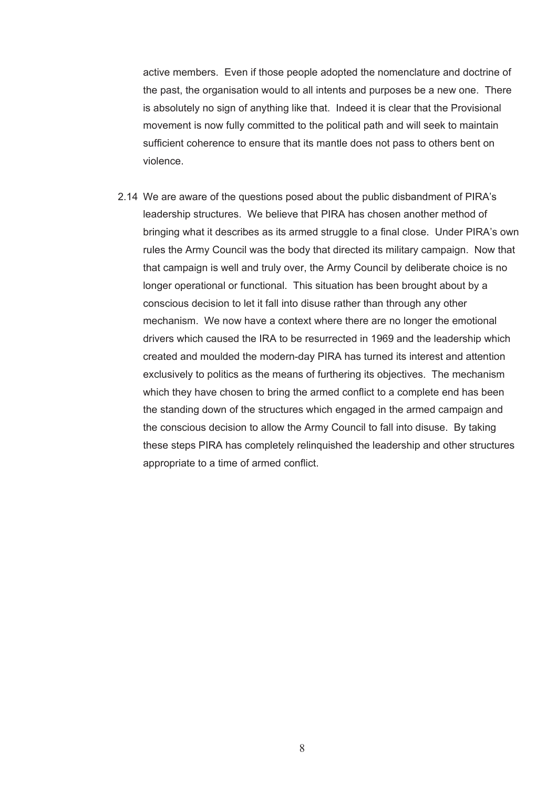active members. Even if those people adopted the nomenclature and doctrine of the past, the organisation would to all intents and purposes be a new one. There is absolutely no sign of anything like that. Indeed it is clear that the Provisional movement is now fully committed to the political path and will seek to maintain sufficient coherence to ensure that its mantle does not pass to others bent on violence.

2.14 We are aware of the questions posed about the public disbandment of PIRA's leadership structures. We believe that PIRA has chosen another method of bringing what it describes as its armed struggle to a final close. Under PIRA's own rules the Army Council was the body that directed its military campaign. Now that that campaign is well and truly over, the Army Council by deliberate choice is no longer operational or functional. This situation has been brought about by a conscious decision to let it fall into disuse rather than through any other mechanism. We now have a context where there are no longer the emotional drivers which caused the IRA to be resurrected in 1969 and the leadership which created and moulded the modern-day PIRA has turned its interest and attention exclusively to politics as the means of furthering its objectives. The mechanism which they have chosen to bring the armed conflict to a complete end has been the standing down of the structures which engaged in the armed campaign and the conscious decision to allow the Army Council to fall into disuse. By taking these steps PIRA has completely relinquished the leadership and other structures appropriate to a time of armed conflict.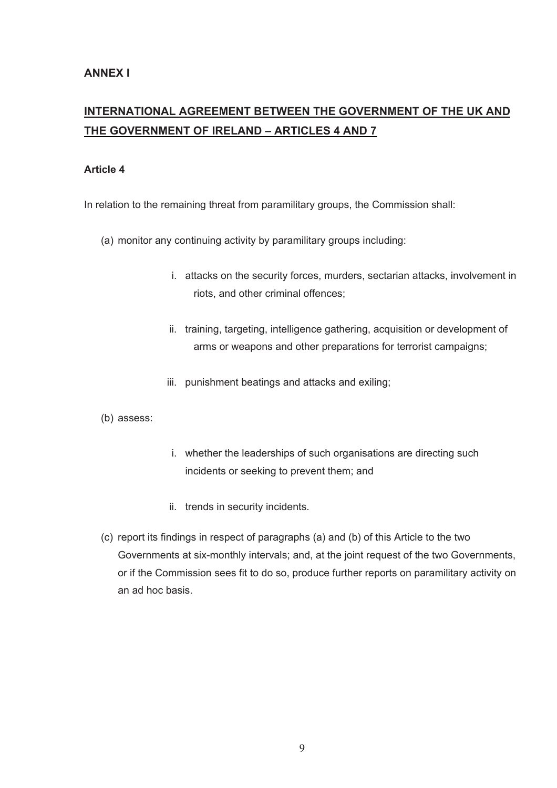# **INTERNATIONAL AGREEMENT BETWEEN THE GOVERNMENT OF THE UK AND THE GOVERNMENT OF IRELAND – ARTICLES 4 AND 7**

## **Article 4**

In relation to the remaining threat from paramilitary groups, the Commission shall:

- (a) monitor any continuing activity by paramilitary groups including:
	- i. attacks on the security forces, murders, sectarian attacks, involvement in riots, and other criminal offences;
	- ii. training, targeting, intelligence gathering, acquisition or development of arms or weapons and other preparations for terrorist campaigns;
	- iii. punishment beatings and attacks and exiling;
- (b) assess:
- i. whether the leaderships of such organisations are directing such incidents or seeking to prevent them; and
- ii. trends in security incidents.
- (c) report its findings in respect of paragraphs (a) and (b) of this Article to the two Governments at six-monthly intervals; and, at the joint request of the two Governments, or if the Commission sees fit to do so, produce further reports on paramilitary activity on an ad hoc basis.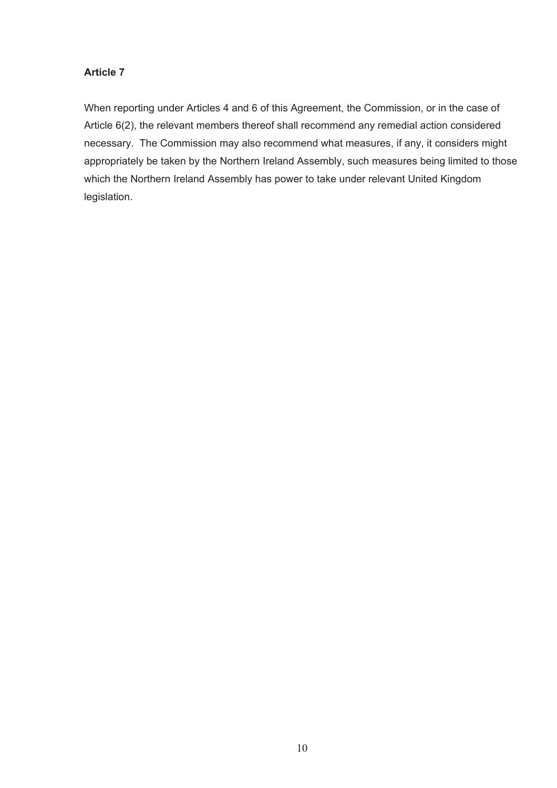## **Article 7**

When reporting under Articles 4 and 6 of this Agreement, the Commission, or in the case of Article 6(2), the relevant members thereof shall recommend any remedial action considered necessary. The Commission may also recommend what measures, if any, it considers might appropriately be taken by the Northern Ireland Assembly, such measures being limited to those which the Northern Ireland Assembly has power to take under relevant United Kingdom legislation.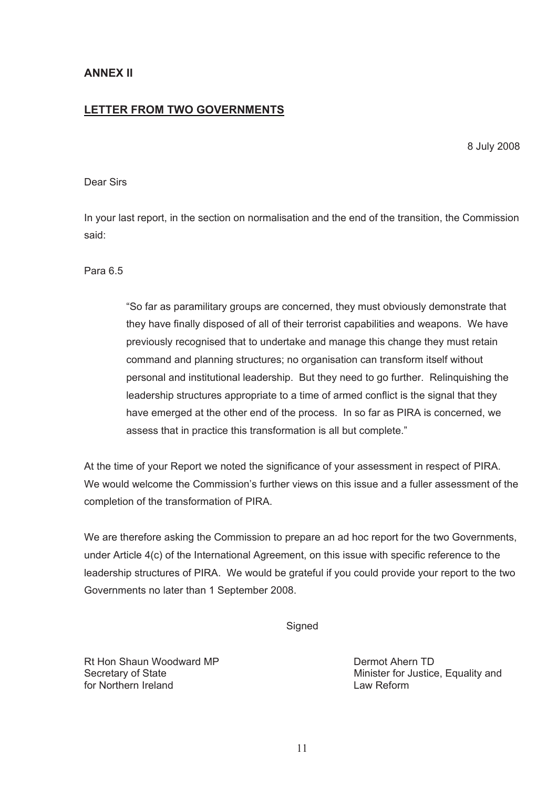## **ANNEX II**

## **LETTER FROM TWO GOVERNMENTS**

8 July 2008

## Dear Sirs

In your last report, in the section on normalisation and the end of the transition, the Commission said:

Para 6.5

"So far as paramilitary groups are concerned, they must obviously demonstrate that they have finally disposed of all of their terrorist capabilities and weapons. We have previously recognised that to undertake and manage this change they must retain command and planning structures; no organisation can transform itself without personal and institutional leadership. But they need to go further. Relinquishing the leadership structures appropriate to a time of armed conflict is the signal that they have emerged at the other end of the process. In so far as PIRA is concerned, we assess that in practice this transformation is all but complete."

At the time of your Report we noted the significance of your assessment in respect of PIRA. We would welcome the Commission's further views on this issue and a fuller assessment of the completion of the transformation of PIRA.

We are therefore asking the Commission to prepare an ad hoc report for the two Governments, under Article 4(c) of the International Agreement, on this issue with specific reference to the leadership structures of PIRA. We would be grateful if you could provide your report to the two Governments no later than 1 September 2008.

**Signed** 

Rt Hon Shaun Woodward MP **Dermot Ahern TD** for Northern Ireland **Law Reform** Law Reform

Secretary of State **Minister For Justice, Equality and**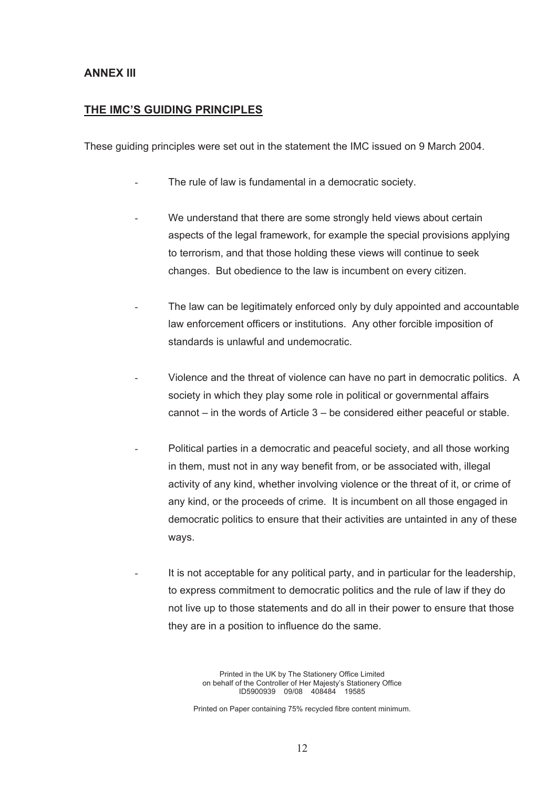## **ANNEX III**

## **THE IMC'S GUIDING PRINCIPLES**

These guiding principles were set out in the statement the IMC issued on 9 March 2004.

- The rule of law is fundamental in a democratic society.
- We understand that there are some strongly held views about certain aspects of the legal framework, for example the special provisions applying to terrorism, and that those holding these views will continue to seek changes. But obedience to the law is incumbent on every citizen.
- The law can be legitimately enforced only by duly appointed and accountable law enforcement officers or institutions. Any other forcible imposition of standards is unlawful and undemocratic.
- Violence and the threat of violence can have no part in democratic politics. A society in which they play some role in political or governmental affairs cannot  $-$  in the words of Article  $3 -$  be considered either peaceful or stable.
- Political parties in a democratic and peaceful society, and all those working in them, must not in any way benefit from, or be associated with, illegal activity of any kind, whether involving violence or the threat of it, or crime of any kind, or the proceeds of crime. It is incumbent on all those engaged in democratic politics to ensure that their activities are untainted in any of these ways.
- It is not acceptable for any political party, and in particular for the leadership, to express commitment to democratic politics and the rule of law if they do not live up to those statements and do all in their power to ensure that those they are in a position to influence do the same.

Printed in the UK by The Stationery Office Limited on behalf of the Controller of Her Majesty's Stationery Office ID5900939 09/08 408484 19585

Printed on Paper containing 75% recycled fibre content minimum.